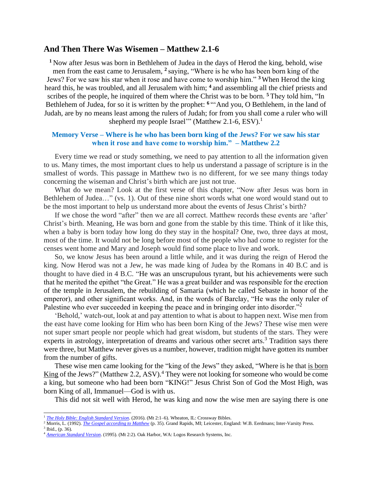## **And Then There Was Wisemen – Matthew 2.1-6**

**<sup>1</sup>** Now after Jesus was born in Bethlehem of Judea in the days of Herod the king, behold, wise men from the east came to Jerusalem, **<sup>2</sup>** saying, "Where is he who has been born king of the Jews? For we saw his star when it rose and have come to worship him." **<sup>3</sup>** When Herod the king heard this, he was troubled, and all Jerusalem with him; **<sup>4</sup>** and assembling all the chief priests and scribes of the people, he inquired of them where the Christ was to be born. **<sup>5</sup>** They told him, "In Bethlehem of Judea, for so it is written by the prophet: **<sup>6</sup>** "'And you, O Bethlehem, in the land of Judah, are by no means least among the rulers of Judah; for from you shall come a ruler who will shepherd my people Israel'" (Matthew 2.1-6, ESV).<sup>1</sup>

## **Memory Verse – Where is he who has been born king of the Jews? For we saw his star when it rose and have come to worship him." – Matthew 2.2**

Every time we read or study something, we need to pay attention to all the information given to us. Many times, the most important clues to help us understand a passage of scripture is in the smallest of words. This passage in Matthew two is no different, for we see many things today concerning the wiseman and Christ's birth which are just not true.

What do we mean? Look at the first verse of this chapter, "Now after Jesus was born in Bethlehem of Judea…" (vs. 1). Out of these nine short words what one word would stand out to be the most important to help us understand more about the events of Jesus Christ's birth?

If we chose the word "after" then we are all correct. Matthew records these events are 'after' Christ's birth. Meaning, He was born and gone from the stable by this time. Think of it like this, when a baby is born today how long do they stay in the hospital? One, two, three days at most, most of the time. It would not be long before most of the people who had come to register for the censes went home and Mary and Joseph would find some place to live and work.

So, we know Jesus has been around a little while, and it was during the reign of Herod the king. Now Herod was not a Jew, he was made king of Judea by the Romans in 40 B.C and is thought to have died in 4 B.C. "He was an unscrupulous tyrant, but his achievements were such that he merited the epithet "the Great." He was a great builder and was responsible for the erection of the temple in Jerusalem, the rebuilding of Samaria (which he called Sebaste in honor of the emperor), and other significant works. And, in the words of Barclay, "He was the only ruler of Palestine who ever succeeded in keeping the peace and in bringing order into disorder."<sup>2</sup>

'Behold,' watch-out, look at and pay attention to what is about to happen next. Wise men from the east have come looking for Him who has been born King of the Jews? These wise men were not super smart people nor people which had great wisdom, but students of the stars. They were experts in astrology, interpretation of dreams and various other secret arts.<sup>3</sup> Tradition says there were three, but Matthew never gives us a number, however, tradition might have gotten its number from the number of gifts.

These wise men came looking for the "king of the Jews" they asked, "Where is he that is born King of the Jews?" (Matthew 2.2, ASV).<sup>4</sup> They were not looking for someone who would be come a king, but someone who had been born "KING!" Jesus Christ Son of God the Most High, was born King of all, Immanuel—God is with us.

This did not sit well with Herod, he was king and now the wise men are saying there is one

<sup>&</sup>lt;sup>1</sup> *[The Holy Bible: English Standard Version](https://ref.ly/logosres/esv?ref=BibleESV.Mt2.1&off=28&ctx=t+of+the+Wise+Men%0a2%C2%A0~Now+h%EF%BB%BFafter+Jesus+wa)*. (2016). (Mt 2:1-6). Wheaton, IL: Crossway Bibles.

<sup>2</sup> Morris, L. (1992). *[The Gospel according to Matthew](https://ref.ly/logosres/pntcmatt?ref=Bible.Mt2.1&off=1768&ctx=ute+about+this).%EF%BB%BF5%EF%BB%BF+~He+was+an+unscrupulo)* (p. 35). Grand Rapids, MI; Leicester, England: W.B. Eerdmans; Inter-Varsity Press.  $3$  Ibid., (p. 36).

<sup>4</sup> *[American Standard Version](https://ref.ly/logosres/asv?ref=BibleKJV.Mt2.2&off=2&ctx=erusalem%2c+saying%2c+2%EF%BB%BF~Where+is+he+that+is+)*. (1995). (Mt 2:2). Oak Harbor, WA: Logos Research Systems, Inc.